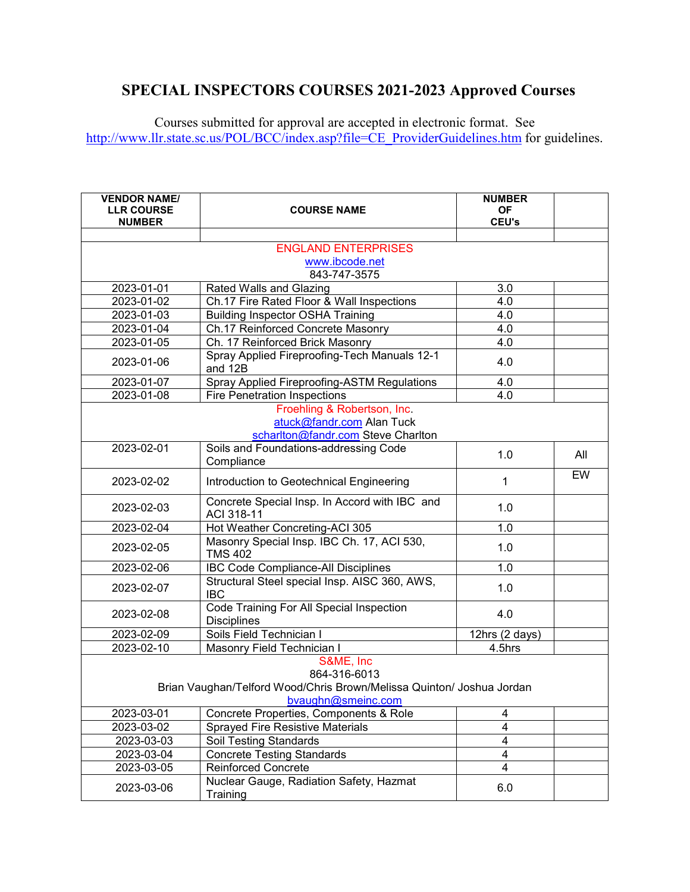## **SPECIAL INSPECTORS COURSES 2021-2023 Approved Courses**

Courses submitted for approval are accepted in electronic format. See [http://www.llr.state.sc.us/POL/BCC/index.asp?file=CE\\_ProviderGuidelines.htm](http://www.llr.state.sc.us/POL/BCC/index.asp?file=CE_ProviderGuidelines.htm) for guidelines.

| <b>VENDOR NAME/</b><br><b>LLR COURSE</b><br><b>NUMBER</b> | <b>COURSE NAME</b>                                                                                                       | <b>NUMBER</b><br><b>OF</b><br><b>CEU's</b> |     |
|-----------------------------------------------------------|--------------------------------------------------------------------------------------------------------------------------|--------------------------------------------|-----|
|                                                           |                                                                                                                          |                                            |     |
|                                                           | <b>ENGLAND ENTERPRISES</b>                                                                                               |                                            |     |
|                                                           | www.ibcode.net                                                                                                           |                                            |     |
|                                                           | 843-747-3575                                                                                                             |                                            |     |
| 2023-01-01                                                | <b>Rated Walls and Glazing</b>                                                                                           | 3.0                                        |     |
| 2023-01-02                                                | Ch.17 Fire Rated Floor & Wall Inspections                                                                                | 4.0                                        |     |
| 2023-01-03                                                | <b>Building Inspector OSHA Training</b>                                                                                  | 4.0                                        |     |
| 2023-01-04                                                | Ch.17 Reinforced Concrete Masonry                                                                                        | 4.0                                        |     |
| 2023-01-05                                                | Ch. 17 Reinforced Brick Masonry                                                                                          | 4.0                                        |     |
| 2023-01-06                                                | Spray Applied Fireproofing-Tech Manuals 12-1<br>and 12B                                                                  | 4.0                                        |     |
| 2023-01-07                                                | Spray Applied Fireproofing-ASTM Regulations                                                                              | 4.0                                        |     |
| 2023-01-08                                                | <b>Fire Penetration Inspections</b>                                                                                      | 4.0                                        |     |
|                                                           | Froehling & Robertson, Inc.<br>atuck@fandr.com Alan Tuck<br>scharlton@fandr.com Steve Charlton                           |                                            |     |
| 2023-02-01                                                | Soils and Foundations-addressing Code<br>Compliance                                                                      | 1.0                                        | All |
| 2023-02-02                                                | Introduction to Geotechnical Engineering                                                                                 | 1                                          | EW  |
| 2023-02-03                                                | Concrete Special Insp. In Accord with IBC and<br>ACI 318-11                                                              | 1.0                                        |     |
| 2023-02-04                                                | Hot Weather Concreting-ACI 305                                                                                           | 1.0                                        |     |
| 2023-02-05                                                | Masonry Special Insp. IBC Ch. 17, ACI 530,<br><b>TMS 402</b>                                                             | 1.0                                        |     |
| 2023-02-06                                                | <b>IBC Code Compliance-All Disciplines</b>                                                                               | 1.0                                        |     |
| 2023-02-07                                                | Structural Steel special Insp. AISC 360, AWS,<br><b>IBC</b>                                                              | 1.0                                        |     |
| 2023-02-08                                                | Code Training For All Special Inspection<br><b>Disciplines</b>                                                           | 4.0                                        |     |
| 2023-02-09                                                | Soils Field Technician I                                                                                                 | 12hrs (2 days)                             |     |
| 2023-02-10                                                | Masonry Field Technician I                                                                                               | 4.5hrs                                     |     |
|                                                           | S&ME, Inc<br>864-316-6013<br>Brian Vaughan/Telford Wood/Chris Brown/Melissa Quinton/ Joshua Jordan<br>bvaughn@smeinc.com |                                            |     |
| 2023-03-01                                                | Concrete Properties, Components & Role                                                                                   | 4                                          |     |
| 2023-03-02                                                | Sprayed Fire Resistive Materials                                                                                         | $\overline{4}$                             |     |
| 2023-03-03                                                | <b>Soil Testing Standards</b>                                                                                            | 4                                          |     |
| 2023-03-04                                                | <b>Concrete Testing Standards</b>                                                                                        | 4                                          |     |
| 2023-03-05                                                | <b>Reinforced Concrete</b>                                                                                               | $\overline{\mathbf{4}}$                    |     |
| 2023-03-06                                                | Nuclear Gauge, Radiation Safety, Hazmat<br>Training                                                                      | 6.0                                        |     |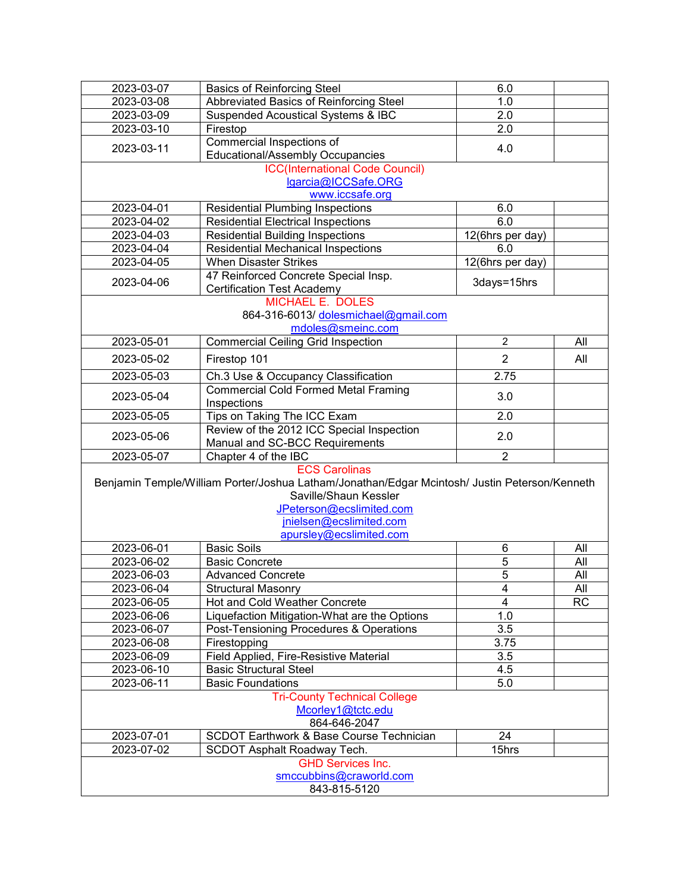| 2023-03-07               | <b>Basics of Reinforcing Steel</b>                                                            | 6.0                 |     |
|--------------------------|-----------------------------------------------------------------------------------------------|---------------------|-----|
| 2023-03-08               | Abbreviated Basics of Reinforcing Steel                                                       | 1.0                 |     |
| 2023-03-09               | <b>Suspended Acoustical Systems &amp; IBC</b>                                                 | 2.0                 |     |
| 2023-03-10               | Firestop                                                                                      | 2.0                 |     |
|                          | Commercial Inspections of                                                                     |                     |     |
| 2023-03-11               | Educational/Assembly Occupancies                                                              | 4.0                 |     |
|                          | <b>ICC(International Code Council)</b>                                                        |                     |     |
|                          | lgarcia@ICCSafe.ORG                                                                           |                     |     |
|                          | www.iccsafe.org                                                                               |                     |     |
| 2023-04-01               | <b>Residential Plumbing Inspections</b>                                                       | 6.0                 |     |
| 2023-04-02               | <b>Residential Electrical Inspections</b>                                                     | 6.0                 |     |
| 2023-04-03               | <b>Residential Building Inspections</b>                                                       | $12$ (6hrs per day) |     |
| 2023-04-04               | <b>Residential Mechanical Inspections</b>                                                     | 6.0                 |     |
|                          |                                                                                               |                     |     |
| 2023-04-05               | <b>When Disaster Strikes</b>                                                                  | 12(6hrs per day)    |     |
| 2023-04-06               | 47 Reinforced Concrete Special Insp.                                                          | 3days=15hrs         |     |
|                          | <b>Certification Test Academy</b><br><b>MICHAEL E. DOLES</b>                                  |                     |     |
|                          |                                                                                               |                     |     |
|                          | 864-316-6013/ dolesmichael@gmail.com                                                          |                     |     |
|                          | mdoles@smeinc.com                                                                             |                     |     |
| 2023-05-01               | <b>Commercial Ceiling Grid Inspection</b>                                                     | $\overline{2}$      | All |
| 2023-05-02               | Firestop 101                                                                                  | $\overline{2}$      | All |
| 2023-05-03               | Ch.3 Use & Occupancy Classification                                                           | 2.75                |     |
| 2023-05-04               | <b>Commercial Cold Formed Metal Framing</b>                                                   | 3.0                 |     |
|                          | Inspections                                                                                   |                     |     |
| 2023-05-05               | Tips on Taking The ICC Exam                                                                   | 2.0                 |     |
| 2023-05-06               | Review of the 2012 ICC Special Inspection                                                     | 2.0                 |     |
|                          | Manual and SC-BCC Requirements                                                                |                     |     |
| 2023-05-07               | Chapter 4 of the IBC                                                                          | $\overline{2}$      |     |
|                          | <b>ECS Carolinas</b>                                                                          |                     |     |
|                          | Benjamin Temple/William Porter/Joshua Latham/Jonathan/Edgar Mcintosh/ Justin Peterson/Kenneth |                     |     |
|                          | Saville/Shaun Kessler                                                                         |                     |     |
|                          | JPeterson@ecslimited.com                                                                      |                     |     |
|                          | jnielsen@ecslimited.com                                                                       |                     |     |
|                          | apursley@ecslimited.com                                                                       |                     |     |
| 2023-06-01               | <b>Basic Soils</b>                                                                            | 6                   | All |
| 2023-06-02               | <b>Basic Concrete</b>                                                                         | 5                   | All |
| 2023-06-03               | <b>Advanced Concrete</b>                                                                      | $\overline{5}$      | All |
| 2023-06-04               | <b>Structural Masonry</b>                                                                     | 4                   | All |
| 2023-06-05               | Hot and Cold Weather Concrete                                                                 | 4                   | RC  |
| 2023-06-06               | Liquefaction Mitigation-What are the Options                                                  | 1.0                 |     |
| 2023-06-07               | Post-Tensioning Procedures & Operations                                                       | 3.5                 |     |
| 2023-06-08               | Firestopping                                                                                  | 3.75                |     |
| 2023-06-09               | Field Applied, Fire-Resistive Material                                                        | 3.5                 |     |
| 2023-06-10               | <b>Basic Structural Steel</b>                                                                 | 4.5                 |     |
| 2023-06-11               | <b>Basic Foundations</b>                                                                      | 5.0                 |     |
|                          | <b>Tri-County Technical College</b>                                                           |                     |     |
|                          | Mcorley1@tctc.edu                                                                             |                     |     |
|                          | 864-646-2047                                                                                  |                     |     |
| 2023-07-01               | <b>SCDOT Earthwork &amp; Base Course Technician</b>                                           | 24                  |     |
| 2023-07-02               | SCDOT Asphalt Roadway Tech.                                                                   | 15hrs               |     |
| <b>GHD Services Inc.</b> |                                                                                               |                     |     |
|                          | smccubbins@craworld.com                                                                       |                     |     |
| 843-815-5120             |                                                                                               |                     |     |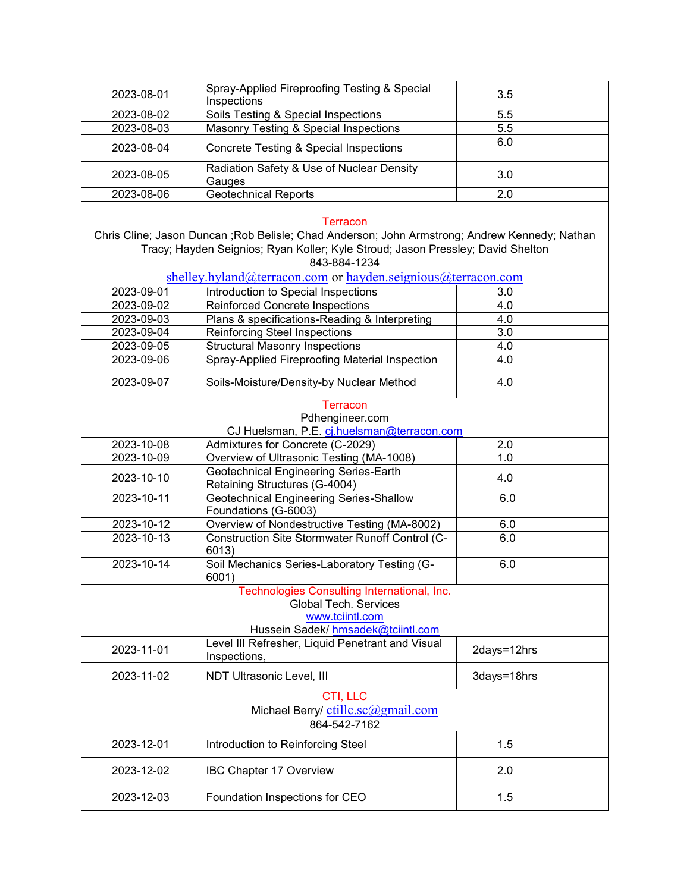| 2023-08-01                                                     | Spray-Applied Fireproofing Testing & Special<br>Inspections                                                                                                                                                   | 3.5         |  |
|----------------------------------------------------------------|---------------------------------------------------------------------------------------------------------------------------------------------------------------------------------------------------------------|-------------|--|
| 2023-08-02                                                     | Soils Testing & Special Inspections                                                                                                                                                                           | 5.5         |  |
| 2023-08-03                                                     | Masonry Testing & Special Inspections                                                                                                                                                                         | 5.5         |  |
| 2023-08-04                                                     | Concrete Testing & Special Inspections                                                                                                                                                                        | 6.0         |  |
|                                                                |                                                                                                                                                                                                               |             |  |
| 2023-08-05                                                     | Radiation Safety & Use of Nuclear Density<br>Gauges                                                                                                                                                           | 3.0         |  |
| 2023-08-06                                                     | <b>Geotechnical Reports</b>                                                                                                                                                                                   | 2.0         |  |
|                                                                | Terracon<br>Chris Cline; Jason Duncan ; Rob Belisle; Chad Anderson; John Armstrong; Andrew Kennedy; Nathan<br>Tracy; Hayden Seignios; Ryan Koller; Kyle Stroud; Jason Pressley; David Shelton<br>843-884-1234 |             |  |
|                                                                | shelley.hyland@terracon.com or hayden.seignious@terracon.com                                                                                                                                                  |             |  |
| 2023-09-01                                                     | Introduction to Special Inspections                                                                                                                                                                           | 3.0         |  |
| 2023-09-02                                                     | <b>Reinforced Concrete Inspections</b>                                                                                                                                                                        | 4.0         |  |
| 2023-09-03                                                     | Plans & specifications-Reading & Interpreting                                                                                                                                                                 | 4.0         |  |
| 2023-09-04                                                     | <b>Reinforcing Steel Inspections</b>                                                                                                                                                                          | 3.0         |  |
| 2023-09-05                                                     | <b>Structural Masonry Inspections</b>                                                                                                                                                                         | 4.0         |  |
| 2023-09-06                                                     | Spray-Applied Fireproofing Material Inspection                                                                                                                                                                | 4.0         |  |
| 2023-09-07                                                     | Soils-Moisture/Density-by Nuclear Method                                                                                                                                                                      | 4.0         |  |
|                                                                | <b>Terracon</b>                                                                                                                                                                                               |             |  |
|                                                                | Pdhengineer.com                                                                                                                                                                                               |             |  |
|                                                                | CJ Huelsman, P.E. cj.huelsman@terracon.com                                                                                                                                                                    |             |  |
| 2023-10-08                                                     | Admixtures for Concrete (C-2029)                                                                                                                                                                              | 2.0         |  |
| 2023-10-09                                                     | Overview of Ultrasonic Testing (MA-1008)                                                                                                                                                                      | 1.0         |  |
| 2023-10-10                                                     | Geotechnical Engineering Series-Earth<br>Retaining Structures (G-4004)                                                                                                                                        | 4.0         |  |
| 2023-10-11                                                     | <b>Geotechnical Engineering Series-Shallow</b>                                                                                                                                                                | 6.0         |  |
|                                                                | Foundations (G-6003)                                                                                                                                                                                          |             |  |
| 2023-10-12                                                     | Overview of Nondestructive Testing (MA-8002)                                                                                                                                                                  | 6.0         |  |
| 2023-10-13                                                     | Construction Site Stormwater Runoff Control (C-<br>6013)                                                                                                                                                      | 6.0         |  |
| 2023-10-14                                                     | Soil Mechanics Series-Laboratory Testing (G-<br>6001)                                                                                                                                                         | 6.0         |  |
|                                                                | Technologies Consulting International, Inc.<br><b>Global Tech. Services</b><br>www.tciintl.com<br>Hussein Sadek/ hmsadek@tciintl.com                                                                          |             |  |
|                                                                | Level III Refresher, Liquid Penetrant and Visual                                                                                                                                                              |             |  |
| 2023-11-01                                                     | Inspections,                                                                                                                                                                                                  | 2days=12hrs |  |
| 2023-11-02                                                     | NDT Ultrasonic Level, III                                                                                                                                                                                     | 3days=18hrs |  |
| CTI, LLC<br>Michael Berry/ ctillc.sc@gmail.com<br>864-542-7162 |                                                                                                                                                                                                               |             |  |
| 2023-12-01                                                     | Introduction to Reinforcing Steel                                                                                                                                                                             | 1.5         |  |
| 2023-12-02                                                     | IBC Chapter 17 Overview                                                                                                                                                                                       | 2.0         |  |
| 2023-12-03                                                     | Foundation Inspections for CEO                                                                                                                                                                                | 1.5         |  |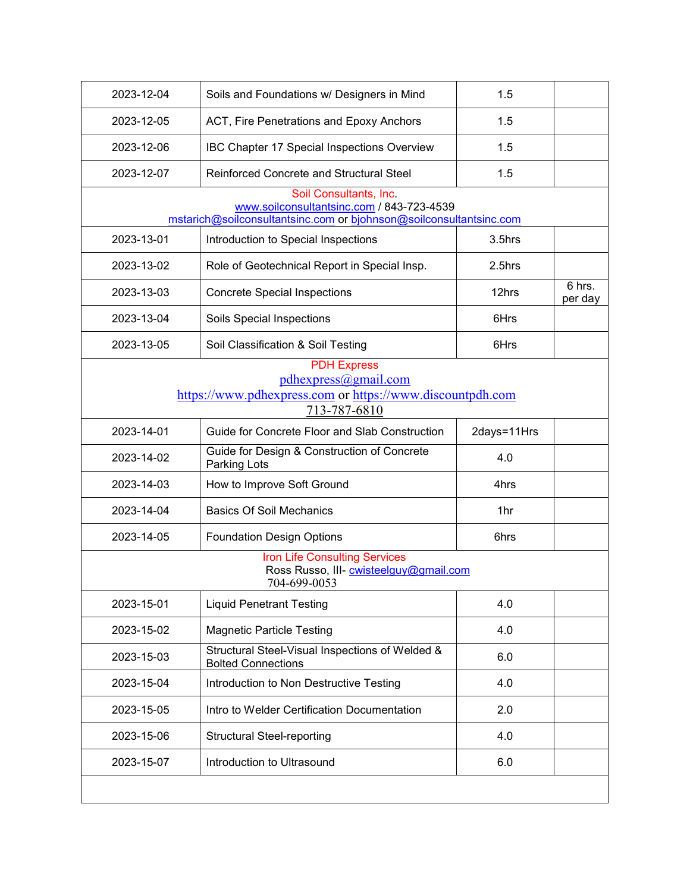| 2023-12-04 | Soils and Foundations w/ Designers in Mind                                                                                                | 1.5         |                   |
|------------|-------------------------------------------------------------------------------------------------------------------------------------------|-------------|-------------------|
| 2023-12-05 | ACT, Fire Penetrations and Epoxy Anchors                                                                                                  | 1.5         |                   |
| 2023-12-06 | IBC Chapter 17 Special Inspections Overview                                                                                               | 1.5         |                   |
| 2023-12-07 | <b>Reinforced Concrete and Structural Steel</b>                                                                                           | 1.5         |                   |
|            | Soil Consultants, Inc.<br>www.soilconsultantsinc.com / 843-723-4539<br>mstarich@soilconsultantsinc.com or bjohnson@soilconsultantsinc.com |             |                   |
| 2023-13-01 | Introduction to Special Inspections                                                                                                       | 3.5hrs      |                   |
| 2023-13-02 | Role of Geotechnical Report in Special Insp.                                                                                              | 2.5hrs      |                   |
| 2023-13-03 | <b>Concrete Special Inspections</b>                                                                                                       | 12hrs       | 6 hrs.<br>per day |
| 2023-13-04 | Soils Special Inspections                                                                                                                 | 6Hrs        |                   |
| 2023-13-05 | Soil Classification & Soil Testing                                                                                                        | 6Hrs        |                   |
|            | <b>PDH Express</b><br>pdhexpress@gmail.com<br>https://www.pdhexpress.com or https://www.discountpdh.com<br>713-787-6810                   |             |                   |
| 2023-14-01 | Guide for Concrete Floor and Slab Construction                                                                                            | 2days=11Hrs |                   |
| 2023-14-02 | Guide for Design & Construction of Concrete<br>Parking Lots                                                                               | 4.0         |                   |
| 2023-14-03 | How to Improve Soft Ground                                                                                                                | 4hrs        |                   |
| 2023-14-04 | <b>Basics Of Soil Mechanics</b>                                                                                                           | 1hr         |                   |
| 2023-14-05 | <b>Foundation Design Options</b>                                                                                                          | 6hrs        |                   |
|            | <b>Iron Life Consulting Services</b><br>Ross Russo, III- cwisteelguy@gmail.com<br>704-699-0053                                            |             |                   |
| 2023-15-01 | <b>Liquid Penetrant Testing</b>                                                                                                           | 4.0         |                   |
| 2023-15-02 | <b>Magnetic Particle Testing</b>                                                                                                          | 4.0         |                   |
| 2023-15-03 | Structural Steel-Visual Inspections of Welded &<br><b>Bolted Connections</b>                                                              | 6.0         |                   |
| 2023-15-04 | Introduction to Non Destructive Testing                                                                                                   | 4.0         |                   |
| 2023-15-05 | Intro to Welder Certification Documentation                                                                                               | 2.0         |                   |
| 2023-15-06 | <b>Structural Steel-reporting</b>                                                                                                         | 4.0         |                   |
| 2023-15-07 | Introduction to Ultrasound                                                                                                                | 6.0         |                   |
|            |                                                                                                                                           |             |                   |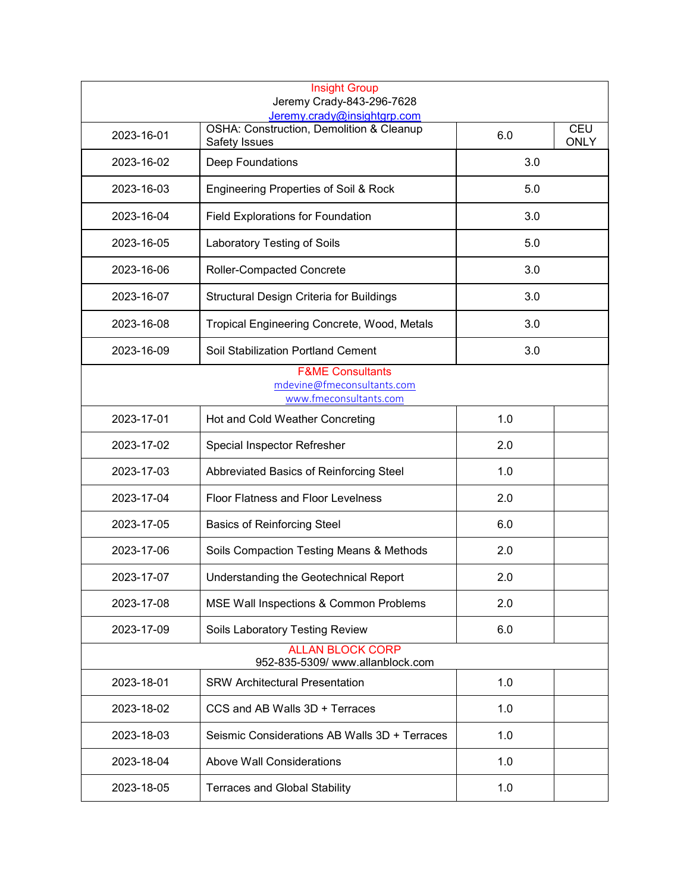|                                                                                     | <b>Insight Group</b><br>Jeremy Crady-843-296-7628<br>Jeremy.crady@insightgrp.com |     |                           |
|-------------------------------------------------------------------------------------|----------------------------------------------------------------------------------|-----|---------------------------|
| 2023-16-01                                                                          | OSHA: Construction, Demolition & Cleanup<br>Safety Issues                        | 6.0 | <b>CEU</b><br><b>ONLY</b> |
| 2023-16-02                                                                          | Deep Foundations                                                                 | 3.0 |                           |
| 2023-16-03                                                                          | <b>Engineering Properties of Soil &amp; Rock</b>                                 | 5.0 |                           |
| 2023-16-04                                                                          | <b>Field Explorations for Foundation</b>                                         | 3.0 |                           |
| 2023-16-05                                                                          | Laboratory Testing of Soils                                                      | 5.0 |                           |
| 2023-16-06                                                                          | Roller-Compacted Concrete                                                        | 3.0 |                           |
| 2023-16-07                                                                          | <b>Structural Design Criteria for Buildings</b>                                  | 3.0 |                           |
| 2023-16-08                                                                          | Tropical Engineering Concrete, Wood, Metals                                      | 3.0 |                           |
| 2023-16-09                                                                          | Soil Stabilization Portland Cement                                               | 3.0 |                           |
| <b>F&amp;ME Consultants</b><br>mdevine@fmeconsultants.com<br>www.fmeconsultants.com |                                                                                  |     |                           |
| 2023-17-01                                                                          | Hot and Cold Weather Concreting                                                  | 1.0 |                           |
| 2023-17-02                                                                          | Special Inspector Refresher                                                      | 2.0 |                           |
| 2023-17-03                                                                          | Abbreviated Basics of Reinforcing Steel                                          | 1.0 |                           |
| 2023-17-04                                                                          | <b>Floor Flatness and Floor Levelness</b>                                        | 2.0 |                           |
| 2023-17-05                                                                          | <b>Basics of Reinforcing Steel</b>                                               | 6.0 |                           |
| 2023-17-06                                                                          | Soils Compaction Testing Means & Methods                                         | 2.0 |                           |
| 2023-17-07                                                                          | Understanding the Geotechnical Report                                            | 2.0 |                           |
| 2023-17-08                                                                          | MSE Wall Inspections & Common Problems                                           | 2.0 |                           |
| 2023-17-09                                                                          | Soils Laboratory Testing Review                                                  | 6.0 |                           |
|                                                                                     | <b>ALLAN BLOCK CORP</b><br>952-835-5309/ www.allanblock.com                      |     |                           |
| 2023-18-01                                                                          | <b>SRW Architectural Presentation</b>                                            | 1.0 |                           |
| 2023-18-02                                                                          | CCS and AB Walls 3D + Terraces                                                   | 1.0 |                           |
| 2023-18-03                                                                          | Seismic Considerations AB Walls 3D + Terraces                                    | 1.0 |                           |
| 2023-18-04                                                                          | <b>Above Wall Considerations</b>                                                 | 1.0 |                           |
| 2023-18-05                                                                          | <b>Terraces and Global Stability</b>                                             | 1.0 |                           |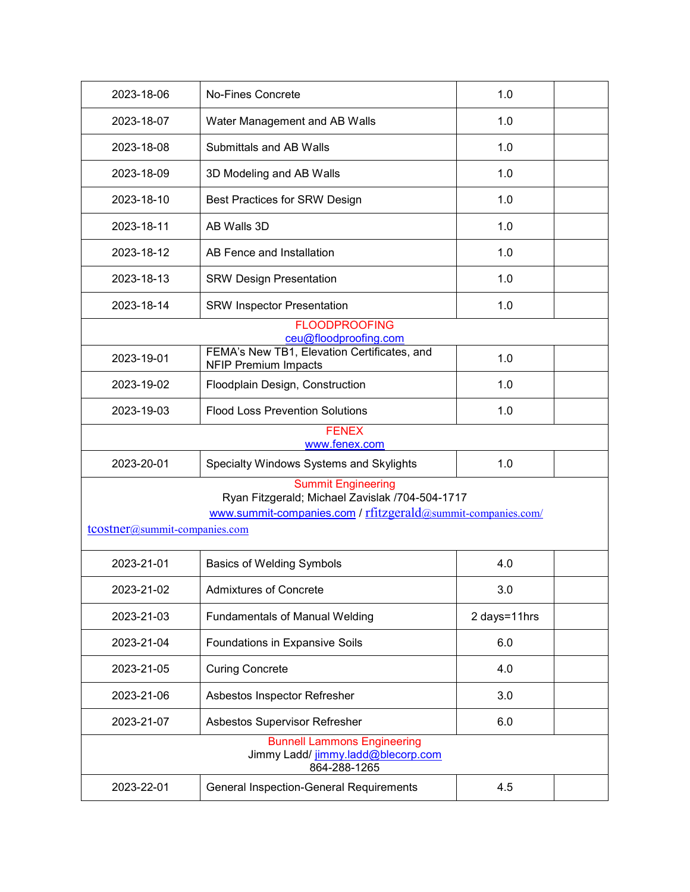| 2023-18-06                                                                                                                                                                    | <b>No-Fines Concrete</b>                                                   | 1.0          |  |
|-------------------------------------------------------------------------------------------------------------------------------------------------------------------------------|----------------------------------------------------------------------------|--------------|--|
| 2023-18-07                                                                                                                                                                    | Water Management and AB Walls                                              | 1.0          |  |
| 2023-18-08                                                                                                                                                                    | Submittals and AB Walls                                                    | 1.0          |  |
| 2023-18-09                                                                                                                                                                    | 3D Modeling and AB Walls                                                   | 1.0          |  |
| 2023-18-10                                                                                                                                                                    | Best Practices for SRW Design                                              | 1.0          |  |
| 2023-18-11                                                                                                                                                                    | AB Walls 3D                                                                | 1.0          |  |
| 2023-18-12                                                                                                                                                                    | AB Fence and Installation                                                  | 1.0          |  |
| 2023-18-13                                                                                                                                                                    | <b>SRW Design Presentation</b>                                             | 1.0          |  |
| 2023-18-14                                                                                                                                                                    | <b>SRW Inspector Presentation</b>                                          | 1.0          |  |
|                                                                                                                                                                               | <b>FLOODPROOFING</b><br>ceu@floodproofing.com                              |              |  |
| 2023-19-01                                                                                                                                                                    | FEMA's New TB1, Elevation Certificates, and<br><b>NFIP Premium Impacts</b> | 1.0          |  |
| 2023-19-02                                                                                                                                                                    | Floodplain Design, Construction                                            | 1.0          |  |
| 2023-19-03                                                                                                                                                                    | <b>Flood Loss Prevention Solutions</b>                                     | 1.0          |  |
|                                                                                                                                                                               | <b>FENEX</b><br>www.fenex.com                                              |              |  |
| 2023-20-01                                                                                                                                                                    | Specialty Windows Systems and Skylights                                    | 1.0          |  |
| <b>Summit Engineering</b><br>Ryan Fitzgerald; Michael Zavislak /704-504-1717<br>www.summit-companies.com / rfitzgerald@summit-companies.com/<br>tcostner@summit-companies.com |                                                                            |              |  |
| 2023-21-01                                                                                                                                                                    | <b>Basics of Welding Symbols</b>                                           | 4.0          |  |
| 2023-21-02                                                                                                                                                                    | <b>Admixtures of Concrete</b>                                              | 3.0          |  |
| 2023-21-03                                                                                                                                                                    | <b>Fundamentals of Manual Welding</b>                                      | 2 days=11hrs |  |
| 2023-21-04                                                                                                                                                                    | Foundations in Expansive Soils                                             | 6.0          |  |
| 2023-21-05                                                                                                                                                                    | <b>Curing Concrete</b>                                                     | 4.0          |  |
| 2023-21-06                                                                                                                                                                    | Asbestos Inspector Refresher                                               | 3.0          |  |
| 2023-21-07                                                                                                                                                                    | Asbestos Supervisor Refresher                                              | 6.0          |  |
| <b>Bunnell Lammons Engineering</b><br>Jimmy Ladd/ jimmy.ladd@blecorp.com<br>864-288-1265                                                                                      |                                                                            |              |  |
| 2023-22-01                                                                                                                                                                    | <b>General Inspection-General Requirements</b>                             | 4.5          |  |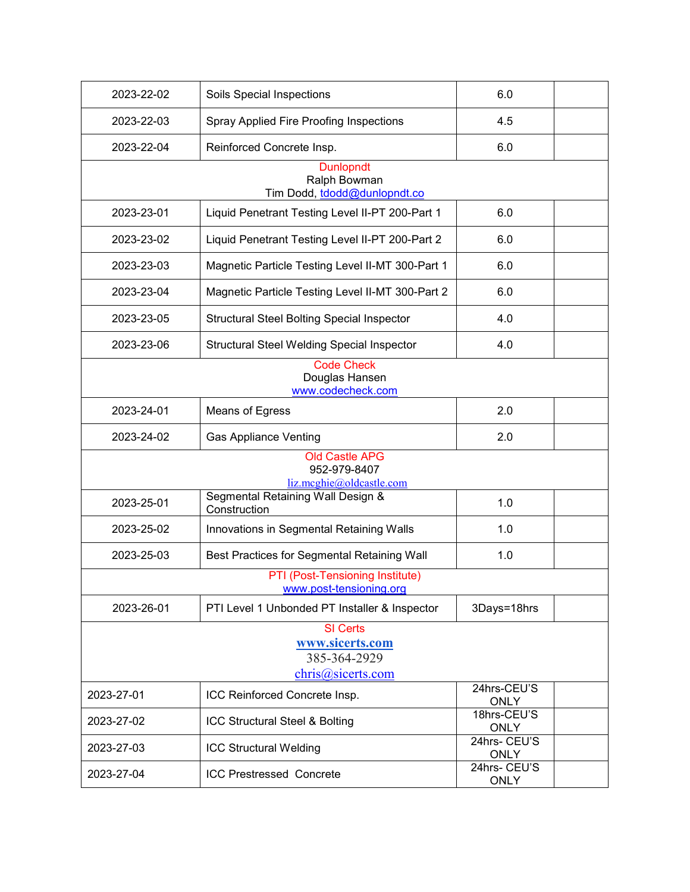| 2023-22-02                                               | Soils Special Inspections                                               | 6.0                         |  |
|----------------------------------------------------------|-------------------------------------------------------------------------|-----------------------------|--|
| 2023-22-03                                               | Spray Applied Fire Proofing Inspections                                 | 4.5                         |  |
| 2023-22-04                                               | Reinforced Concrete Insp.                                               | 6.0                         |  |
|                                                          | <b>Dunlopndt</b><br>Ralph Bowman<br>Tim Dodd, tdodd@dunlopndt.co        |                             |  |
| 2023-23-01                                               | Liquid Penetrant Testing Level II-PT 200-Part 1                         | 6.0                         |  |
| 2023-23-02                                               | Liquid Penetrant Testing Level II-PT 200-Part 2                         | 6.0                         |  |
| 2023-23-03                                               | Magnetic Particle Testing Level II-MT 300-Part 1                        | 6.0                         |  |
| 2023-23-04                                               | Magnetic Particle Testing Level II-MT 300-Part 2                        | 6.0                         |  |
| 2023-23-05                                               | <b>Structural Steel Bolting Special Inspector</b>                       | 4.0                         |  |
| 2023-23-06                                               | <b>Structural Steel Welding Special Inspector</b>                       | 4.0                         |  |
| <b>Code Check</b><br>Douglas Hansen<br>www.codecheck.com |                                                                         |                             |  |
| 2023-24-01                                               | Means of Egress                                                         | 2.0                         |  |
| 2023-24-02                                               | <b>Gas Appliance Venting</b>                                            | 2.0                         |  |
|                                                          | <b>Old Castle APG</b><br>952-979-8407<br>liz.mcghie@oldcastle.com       |                             |  |
| 2023-25-01                                               | Segmental Retaining Wall Design &<br>Construction                       | 1.0                         |  |
| 2023-25-02                                               | Innovations in Segmental Retaining Walls                                | 1.0                         |  |
| 2023-25-03                                               | Best Practices for Segmental Retaining Wall                             | 1.0                         |  |
|                                                          | PTI (Post-Tensioning Institute)<br>www.post-tensioning.org              |                             |  |
| 2023-26-01                                               | PTI Level 1 Unbonded PT Installer & Inspector                           | 3Days=18hrs                 |  |
|                                                          | <b>SI</b> Certs<br>www.sicerts.com<br>385-364-2929<br>chris@sicerts.com |                             |  |
| 2023-27-01                                               | ICC Reinforced Concrete Insp.                                           | 24hrs-CEU'S<br><b>ONLY</b>  |  |
| 2023-27-02                                               | ICC Structural Steel & Bolting                                          | 18hrs-CEU'S<br><b>ONLY</b>  |  |
| 2023-27-03                                               | <b>ICC Structural Welding</b>                                           | 24hrs- CEU'S<br><b>ONLY</b> |  |
| 2023-27-04                                               | <b>ICC Prestressed Concrete</b>                                         | 24hrs- CEU'S<br><b>ONLY</b> |  |